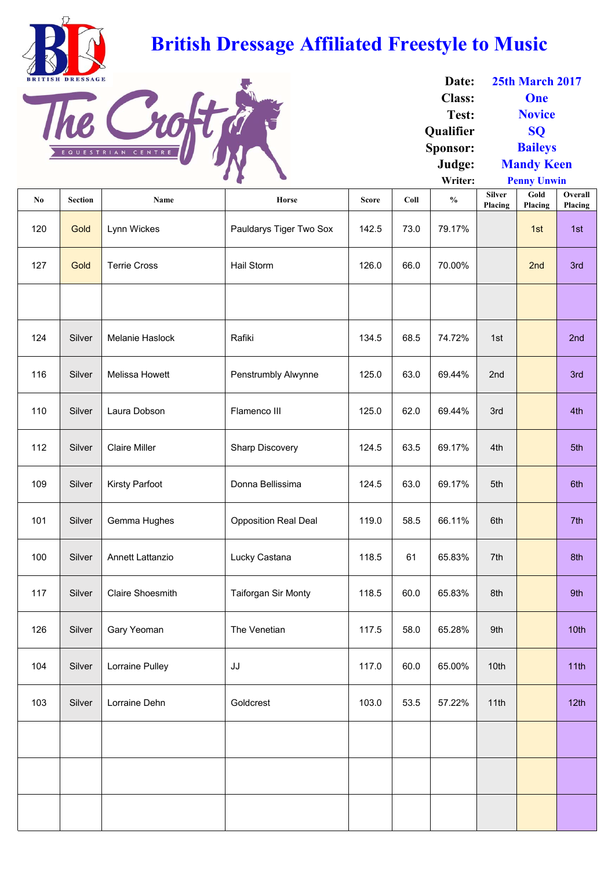|                | $\bullet$<br><b>Cardinal</b> |                         |                             |              |      |               | Writer:                  | <b>Penny Unwin</b> |                    |  |
|----------------|------------------------------|-------------------------|-----------------------------|--------------|------|---------------|--------------------------|--------------------|--------------------|--|
| N <sub>0</sub> | <b>Section</b>               | Name                    | <b>Horse</b>                | <b>Score</b> | Coll | $\frac{0}{0}$ | <b>Silver</b><br>Placing | Gold<br>Placing    | Overall<br>Placing |  |
| 120            | Gold                         | Lynn Wickes             | Pauldarys Tiger Two Sox     | 142.5        | 73.0 | 79.17%        |                          | 1st                | 1st                |  |
| 127            | Gold                         | <b>Terrie Cross</b>     | Hail Storm                  | 126.0        | 66.0 | 70.00%        |                          | 2nd                | 3rd                |  |
|                |                              |                         |                             |              |      |               |                          |                    |                    |  |
| 124            | Silver                       | <b>Melanie Haslock</b>  | Rafiki                      | 134.5        | 68.5 | 74.72%        | 1st                      |                    | 2 <sub>nd</sub>    |  |
| 116            | Silver                       | <b>Melissa Howett</b>   | <b>Penstrumbly Alwynne</b>  | 125.0        | 63.0 | 69.44%        | 2nd                      |                    | 3rd                |  |
| 110            | Silver                       | Laura Dobson            | Flamenco III                | 125.0        | 62.0 | 69.44%        | 3rd                      |                    | 4th                |  |
| 112            | Silver                       | <b>Claire Miller</b>    | <b>Sharp Discovery</b>      | 124.5        | 63.5 | 69.17%        | 4th                      |                    | 5th                |  |
| 109            | Silver                       | <b>Kirsty Parfoot</b>   | Donna Bellissima            | 124.5        | 63.0 | 69.17%        | 5th                      |                    | 6th                |  |
| 101            | Silver                       | Gemma Hughes            | <b>Opposition Real Deal</b> | 119.0        | 58.5 | 66.11%        | 6th                      |                    | 7th                |  |
| 100            | Silver                       | <b>Annett Lattanzio</b> | Lucky Castana               | 118.5        | 61   | 65.83%        | 7th                      |                    | 8th                |  |
| 117            | Silver                       | <b>Claire Shoesmith</b> | <b>Taiforgan Sir Monty</b>  | 118.5        | 60.0 | 65.83%        | 8th                      |                    | 9th                |  |
| 126            | Silver                       | Gary Yeoman             | The Venetian                | 117.5        | 58.0 | 65.28%        | 9th                      |                    | 10th               |  |

| Date:            | <b>25th March 2017</b> |
|------------------|------------------------|
| <b>Class:</b>    | <b>One</b>             |
| Test:            | <b>Novice</b>          |
| <b>Oualifier</b> | <b>SO</b>              |
| <b>Sponsor:</b>  | <b>Baileys</b>         |
| Judge:           | <b>Mandy Keen</b>      |

| 104 | Silver | <b>Lorraine Pulley</b> | JJ        | 117.0 | 60.0 | 65.00% | 10th | 11th |
|-----|--------|------------------------|-----------|-------|------|--------|------|------|
| 103 | Silver | Lorraine Dehn          | Goldcrest | 103.0 | 53.5 | 57.22% | 11th | 12th |
|     |        |                        |           |       |      |        |      |      |
|     |        |                        |           |       |      |        |      |      |
|     |        |                        |           |       |      |        |      |      |



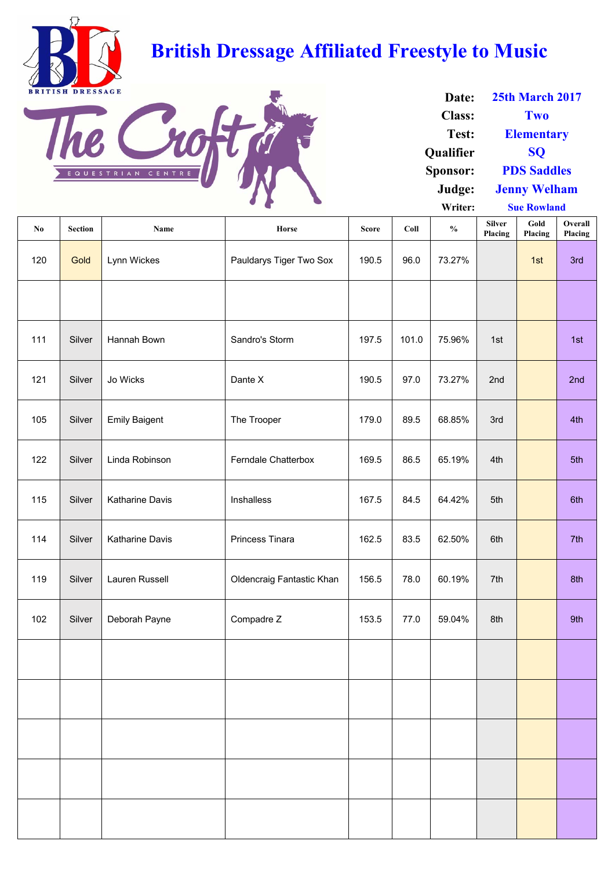| N <sub>0</sub> | <b>Section</b> | <b>Name</b>            | <b>Horse</b>                     | <b>Score</b> | Coll  | $\frac{0}{0}$ | <b>Silver</b><br>Placing | Gold<br>Placing | Overall<br>Placing |
|----------------|----------------|------------------------|----------------------------------|--------------|-------|---------------|--------------------------|-----------------|--------------------|
| 120            | Gold           | Lynn Wickes            | Pauldarys Tiger Two Sox          | 190.5        | 96.0  | 73.27%        |                          | 1st             | 3rd                |
|                |                |                        |                                  |              |       |               |                          |                 |                    |
| 111            | Silver         | Hannah Bown            | Sandro's Storm                   | 197.5        | 101.0 | 75.96%        | 1st                      |                 | 1st                |
| 121            | Silver         | Jo Wicks               | Dante X                          | 190.5        | 97.0  | 73.27%        | 2nd                      |                 | 2nd                |
| 105            | Silver         | <b>Emily Baigent</b>   | The Trooper                      | 179.0        | 89.5  | 68.85%        | 3rd                      |                 | 4th                |
| 122            | Silver         | Linda Robinson         | <b>Ferndale Chatterbox</b>       | 169.5        | 86.5  | 65.19%        | 4th                      |                 | 5th                |
| 115            | Silver         | <b>Katharine Davis</b> | <b>Inshalless</b>                | 167.5        | 84.5  | 64.42%        | 5th                      |                 | 6th                |
| 114            | Silver         | <b>Katharine Davis</b> | <b>Princess Tinara</b>           | 162.5        | 83.5  | 62.50%        | 6th                      |                 | 7th                |
| 119            | Silver         | Lauren Russell         | <b>Oldencraig Fantastic Khan</b> | 156.5        | 78.0  | 60.19%        | 7th                      |                 | 8th                |
| 102            | Silver         | Deborah Payne          | Compadre Z                       | 153.5        | 77.0  | 59.04%        | 8th                      |                 | 9th                |
|                |                |                        |                                  |              |       |               |                          |                 |                    |

| Date:            | <b>25th March 2017</b> |
|------------------|------------------------|
| <b>Class:</b>    | Two                    |
| <b>Test:</b>     | <b>Elementary</b>      |
| <b>Qualifier</b> | <b>SO</b>              |
| <b>Sponsor:</b>  | <b>PDS Saddles</b>     |
| Judge:           | <b>Jenny Welham</b>    |
| Writer:          | <b>Sue Rowland</b>     |



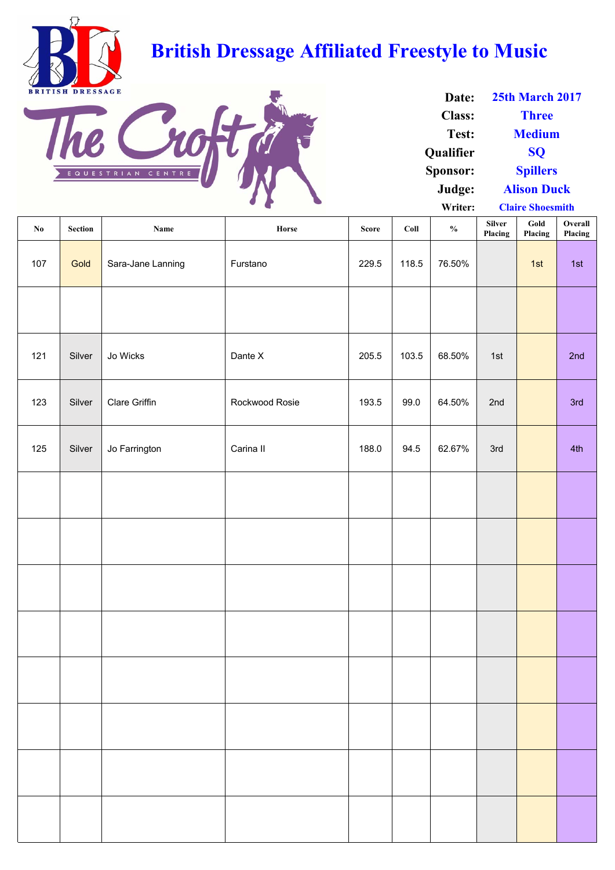| $\bf{No}$ | <b>Section</b> | <b>Name</b>          | Horse          | <b>Score</b> | Coll  | $\frac{0}{0}$ | <b>Silver</b><br>Placing | Gold<br>Placing | Overall<br>Placing |
|-----------|----------------|----------------------|----------------|--------------|-------|---------------|--------------------------|-----------------|--------------------|
| 107       | Gold           | Sara-Jane Lanning    | Furstano       | 229.5        | 118.5 | 76.50%        |                          | 1st             | 1st                |
|           |                |                      |                |              |       |               |                          |                 |                    |
| 121       | Silver         | Jo Wicks             | Dante X        | 205.5        | 103.5 | 68.50%        | 1st                      |                 | 2nd                |
| 123       | Silver         | <b>Clare Griffin</b> | Rockwood Rosie | 193.5        | 99.0  | 64.50%        | 2nd                      |                 | 3rd                |
| 125       | Silver         | Jo Farrington        | Carina II      | 188.0        | 94.5  | 62.67%        | 3rd                      |                 | 4th                |
|           |                |                      |                |              |       |               |                          |                 |                    |
|           |                |                      |                |              |       |               |                          |                 |                    |
|           |                |                      |                |              |       |               |                          |                 |                    |
|           |                |                      |                |              |       |               |                          |                 |                    |

| Date:            | <b>25th March 2017</b>  |  |  |  |  |  |
|------------------|-------------------------|--|--|--|--|--|
| <b>Class:</b>    | <b>Three</b>            |  |  |  |  |  |
| Test:            | <b>Medium</b>           |  |  |  |  |  |
| <b>Qualifier</b> | <b>SO</b>               |  |  |  |  |  |
| <b>Sponsor:</b>  | <b>Spillers</b>         |  |  |  |  |  |
| Judge:           | <b>Alison Duck</b>      |  |  |  |  |  |
| Writer:          | <b>Claire Shoesmith</b> |  |  |  |  |  |